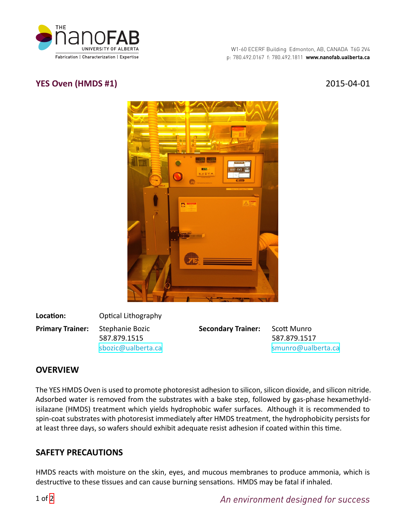

# **YES Oven (HMDS #1)** 2015-04-01



**Location:** Optical Lithography **Primary Trainer:** Stephanie Bozic 587.879.1515 [sbozic@ualberta.ca](mailto:sbozic@ualberta.ca)

**Secondary Trainer:** Scott Munro

587.879.1517 [smunro@ualberta.ca](mailto:smunro@ualberta.ca)

# **OVERVIEW**

The YES HMDS Oven is used to promote photoresist adhesion to silicon, silicon dioxide, and silicon nitride. Adsorbed water is removed from the substrates with a bake step, followed by gas-phase hexamethyldisilazane (HMDS) treatment which yields hydrophobic wafer surfaces. Although it is recommended to spin-coat substrates with photoresist immediately after HMDS treatment, the hydrophobicity persists for at least three days, so wafers should exhibit adequate resist adhesion if coated within this time.

## **SAFETY PRECAUTIONS**

HMDS reacts with moisture on the skin, eyes, and mucous membranes to produce ammonia, which is destructive to these tissues and can cause burning sensations. HMDS may be fatal if inhaled.